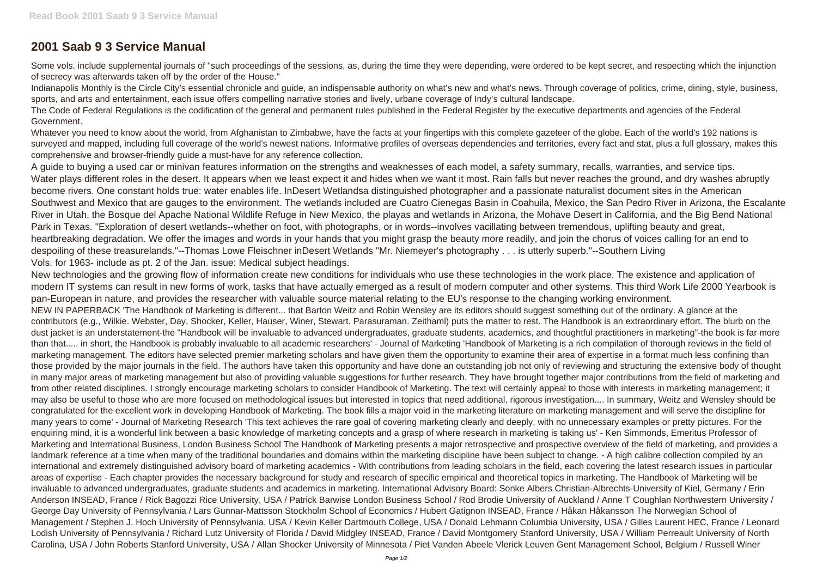## **2001 Saab 9 3 Service Manual**

Some vols, include supplemental journals of "such proceedings of the sessions, as, during the time they were depending, were ordered to be kept secret, and respecting which the injunction of secrecy was afterwards taken off by the order of the House."

Indianapolis Monthly is the Circle City's essential chronicle and guide, an indispensable authority on what's new and what's news. Through coverage of politics, crime, dining, style, business, sports, and arts and entertainment, each issue offers compelling narrative stories and lively, urbane coverage of Indy's cultural landscape.

The Code of Federal Regulations is the codification of the general and permanent rules published in the Federal Register by the executive departments and agencies of the Federal Government.

Whatever you need to know about the world, from Afghanistan to Zimbabwe, have the facts at your fingertips with this complete gazeteer of the globe. Each of the world's 192 nations is surveyed and mapped, including full coverage of the world's newest nations. Informative profiles of overseas dependencies and territories, every fact and stat, plus a full glossary, makes this comprehensive and browser-friendly guide a must-have for any reference collection.

A guide to buying a used car or minivan features information on the strengths and weaknesses of each model, a safety summary, recalls, warranties, and service tips. Water plays different roles in the desert. It appears when we least expect it and hides when we want it most. Rain falls but never reaches the ground, and dry washes abruptly become rivers. One constant holds true: water enables life. InDesert Wetlandsa distinguished photographer and a passionate naturalist document sites in the American Southwest and Mexico that are gauges to the environment. The wetlands included are Cuatro Cienegas Basin in Coahuila, Mexico, the San Pedro River in Arizona, the Escalante River in Utah, the Bosque del Apache National Wildlife Refuge in New Mexico, the playas and wetlands in Arizona, the Mohave Desert in California, and the Big Bend National Park in Texas. "Exploration of desert wetlands--whether on foot, with photographs, or in words--involves vacillating between tremendous, uplifting beauty and great, heartbreaking degradation. We offer the images and words in your hands that you might grasp the beauty more readily, and join the chorus of voices calling for an end to despoiling of these treasurelands."--Thomas Lowe Fleischner inDesert Wetlands "Mr. Niemeyer's photography . . . is utterly superb."--Southern Living Vols. for 1963- include as pt. 2 of the Jan. issue: Medical subject headings.

New technologies and the growing flow of information create new conditions for individuals who use these technologies in the work place. The existence and application of modern IT systems can result in new forms of work, tasks that have actually emerged as a result of modern computer and other systems. This third Work Life 2000 Yearbook is pan-European in nature, and provides the researcher with valuable source material relating to the EU's response to the changing working environment. NEW IN PAPERBACK 'The Handbook of Marketing is different... that Barton Weitz and Robin Wensley are its editors should suggest something out of the ordinary. A glance at the contributors (e.g., Wilkie. Webster, Day, Shocker, Keller, Hauser, Winer, Stewart. Parasuraman. Zeithaml) puts the matter to rest. The Handbook is an extraordinary effort. The blurb on the dust jacket is an understatement-the "Handbook will be invaluable to advanced undergraduates, graduate students, academics, and thoughtful practitioners in marketing"-the book is far more than that..... in short, the Handbook is probably invaluable to all academic researchers' - Journal of Marketing 'Handbook of Marketing is a rich compilation of thorough reviews in the field of marketing management. The editors have selected premier marketing scholars and have given them the opportunity to examine their area of expertise in a format much less confining than those provided by the major journals in the field. The authors have taken this opportunity and have done an outstanding job not only of reviewing and structuring the extensive body of thought in many major areas of marketing management but also of providing valuable suggestions for further research. They have brought together major contributions from the field of marketing and from other related disciplines. I strongly encourage marketing scholars to consider Handbook of Marketing. The text will certainly appeal to those with interests in marketing management; it may also be useful to those who are more focused on methodological issues but interested in topics that need additional, rigorous investigation.... In summary, Weitz and Wensley should be congratulated for the excellent work in developing Handbook of Marketing. The book fills a major void in the marketing literature on marketing management and will serve the discipline for many years to come' - Journal of Marketing Research 'This text achieves the rare goal of covering marketing clearly and deeply, with no unnecessary examples or pretty pictures. For the enquiring mind, it is a wonderful link between a basic knowledge of marketing concepts and a grasp of where research in marketing is taking us' - Ken Simmonds, Emeritus Professor of Marketing and International Business, London Business School The Handbook of Marketing presents a major retrospective and prospective overview of the field of marketing, and provides a landmark reference at a time when many of the traditional boundaries and domains within the marketing discipline have been subject to change. - A high calibre collection compiled by an international and extremely distinguished advisory board of marketing academics - With contributions from leading scholars in the field, each covering the latest research issues in particular areas of expertise - Each chapter provides the necessary background for study and research of specific empirical and theoretical topics in marketing. The Handbook of Marketing will be invaluable to advanced undergraduates, graduate students and academics in marketing. International Advisory Board: Sonke Albers Christian-Albrechts-University of Kiel, Germany / Erin Anderson INSEAD, France / Rick Bagozzi Rice University, USA / Patrick Barwise London Business School / Rod Brodie University of Auckland / Anne T Coughlan Northwestern University / George Day University of Pennsylvania / Lars Gunnar-Mattsson Stockholm School of Economics / Hubert Gatignon INSEAD, France / Håkan Håkansson The Norwegian School of Management / Stephen J. Hoch University of Pennsylvania, USA / Kevin Keller Dartmouth College, USA / Donald Lehmann Columbia University, USA / Gilles Laurent HEC, France / Leonard Lodish University of Pennsylvania / Richard Lutz University of Florida / David Midgley INSEAD, France / David Montgomery Stanford University, USA / William Perreault University of North Carolina, USA / John Roberts Stanford University, USA / Allan Shocker University of Minnesota / Piet Vanden Abeele Vlerick Leuven Gent Management School, Belgium / Russell Winer